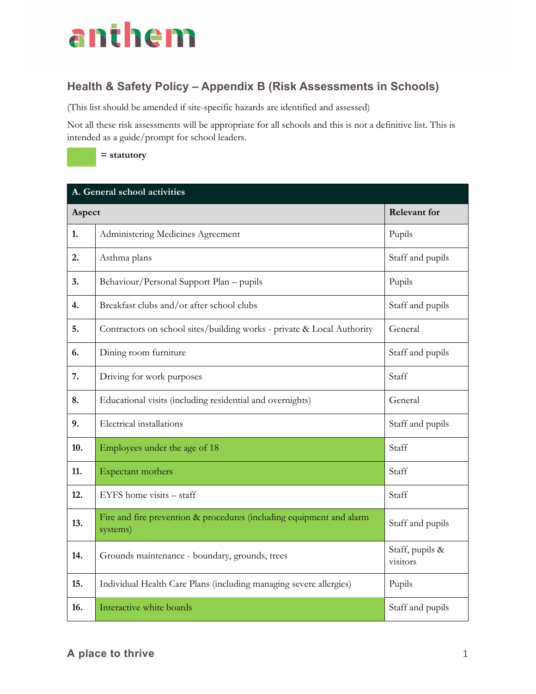## anthem

## **Health & Safety Policy – Appendix B (Risk Assessments in Schools)**

(This list should be amended if site-specific hazards are identified and assessed)

Not all these risk assessments will be appropriate for all schools and this is not a definitive list. This is intended as a guide/prompt for school leaders.



## **A. General school activities Aspect** Relevant for **1.** Administering Medicines Agreement Pupils **2.** Asthma plans Staff and pupils **3.** Behaviour/Personal Support Plan – pupils Pupils Pupils **4.** Breakfast clubs and/or after school clubs Staff and pupils Staff and pupils **5.** Contractors on school sites/building works - private & Local Authority General **6.** Dining room furniture Staff and pupils Staff and pupils **7.** Driving for work purposes Staff **8.** Educational visits (including residential and overnights) General **9.** Electrical installations Staff and pupils Staff and pupils **10.** Employees under the age of 18 Staff **11.** Expectant mothers Staff **12.** EYFS home visits – staff Staff Staff Staff Staff Staff Staff Staff Staff Staff Staff Staff Staff Staff Staff Staff Staff Staff Staff Staff Staff Staff Staff Staff Staff Staff Staff Staff Staff Staff Staff Staff Staff **13.** Fire and fire prevention & procedures (including equipment and alarm staff and pupils systems) **14.** Grounds maintenance - boundary, grounds, trees Staff, pupils & visitors **15.** Individual Health Care Plans (including managing severe allergies) Pupils **16.** Interactive white boards **Interactive white boards** Staff and pupils